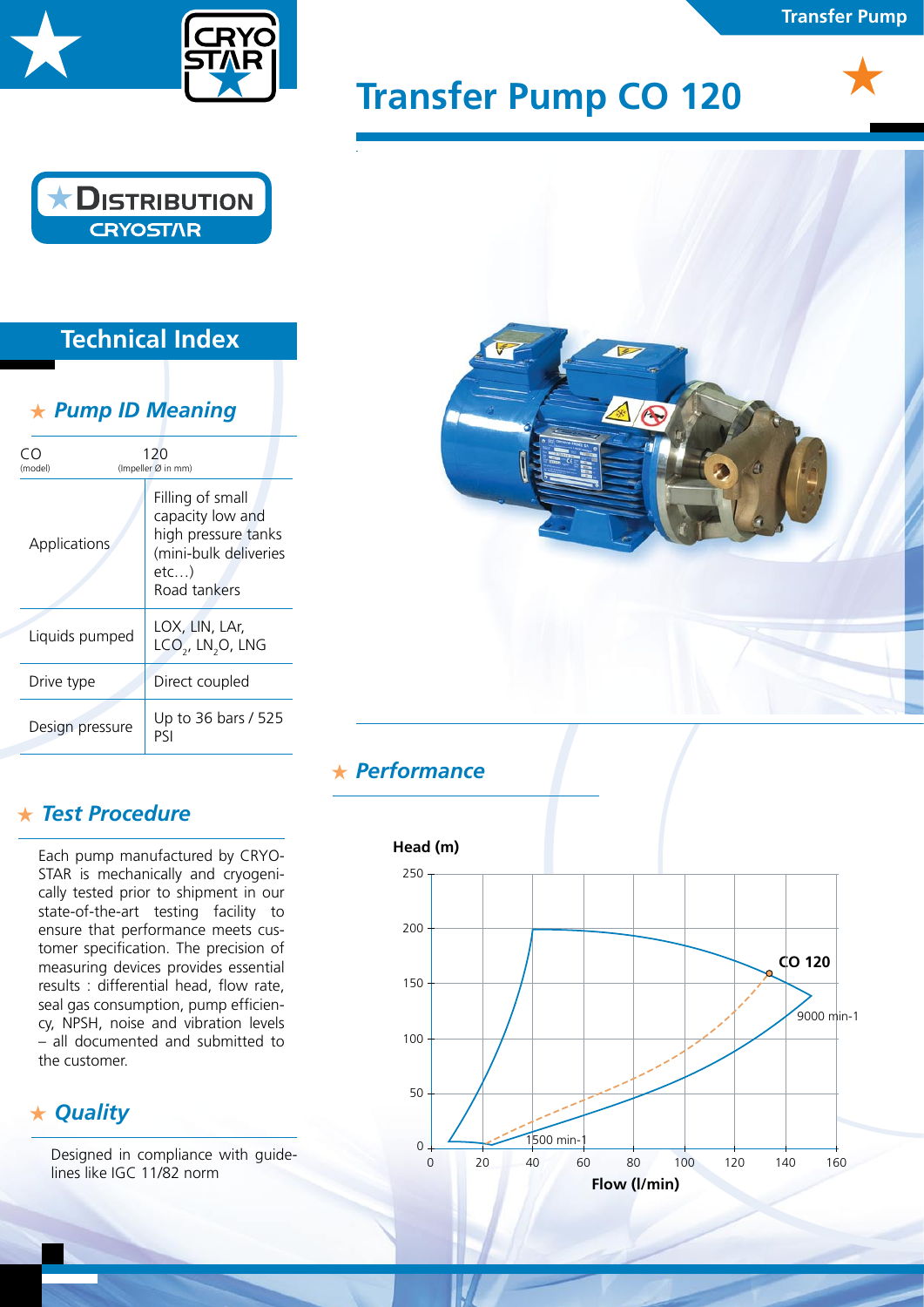

# **DISTRIBUTION**

### **Technical Index**

**CRYOST/IR** 

#### *Pump ID Meaning*

| 120<br>(Impeller Ø in mm)<br>(model) |                                                                                                             |  |
|--------------------------------------|-------------------------------------------------------------------------------------------------------------|--|
| Applications                         | Filling of small<br>capacity low and<br>high pressure tanks<br>(mini-bulk deliveries<br>etc<br>Road tankers |  |
| Liquids pumped                       | LOX, LIN, LAr,<br>$LCO2$ , LN <sub>2</sub> O, LNG                                                           |  |
| Drive type                           | Direct coupled                                                                                              |  |
| Design pressure                      | Up to 36 bars / 525<br>PSI                                                                                  |  |

#### *Test Procedure*

Each pump manufactured by CRYO-STAR is mechanically and cryogenically tested prior to shipment in our state-of-the-art testing facility to ensure that performance meets customer specification. The precision of measuring devices provides essential results : differential head, flow rate, seal gas consumption, pump efficiency, NPSH, noise and vibration levels – all documented and submitted to the customer.

#### *Quality*

Designed in compliance with guidelines like IGC 11/82 norm

## **Transfer Pump CO 120**



**Transfer Pump**



#### *Performance*